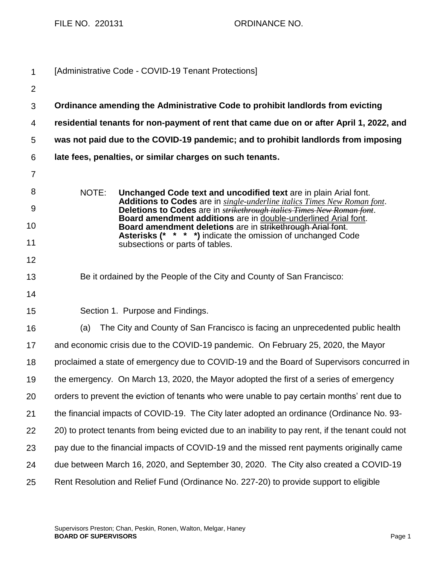FILE NO. 220131 ORDINANCE NO.

| $\mathbf 1$    | [Administrative Code - COVID-19 Tenant Protections]                                                                                                                                                                                                                                                                                                                                                                                                                                    |
|----------------|----------------------------------------------------------------------------------------------------------------------------------------------------------------------------------------------------------------------------------------------------------------------------------------------------------------------------------------------------------------------------------------------------------------------------------------------------------------------------------------|
| $\overline{2}$ |                                                                                                                                                                                                                                                                                                                                                                                                                                                                                        |
| 3              | Ordinance amending the Administrative Code to prohibit landlords from evicting                                                                                                                                                                                                                                                                                                                                                                                                         |
| 4              | residential tenants for non-payment of rent that came due on or after April 1, 2022, and                                                                                                                                                                                                                                                                                                                                                                                               |
| 5              | was not paid due to the COVID-19 pandemic; and to prohibit landlords from imposing                                                                                                                                                                                                                                                                                                                                                                                                     |
| 6              | late fees, penalties, or similar charges on such tenants.                                                                                                                                                                                                                                                                                                                                                                                                                              |
| $\overline{7}$ |                                                                                                                                                                                                                                                                                                                                                                                                                                                                                        |
| 8<br>9         | NOTE:<br>Unchanged Code text and uncodified text are in plain Arial font.<br><b>Additions to Codes</b> are in <i>single-underline italics Times New Roman font.</i><br>Deletions to Codes are in <b>strikethrough italics Times New Roman font</b> .<br>Board amendment additions are in double-underlined Arial font.<br>Board amendment deletions are in strikethrough Arial font.<br>Asterisks (* * * *) indicate the omission of unchanged Code<br>subsections or parts of tables. |
| 10             |                                                                                                                                                                                                                                                                                                                                                                                                                                                                                        |
| 11             |                                                                                                                                                                                                                                                                                                                                                                                                                                                                                        |
| 12             |                                                                                                                                                                                                                                                                                                                                                                                                                                                                                        |
| 13             | Be it ordained by the People of the City and County of San Francisco:                                                                                                                                                                                                                                                                                                                                                                                                                  |
| 14             |                                                                                                                                                                                                                                                                                                                                                                                                                                                                                        |
| 15             | Section 1. Purpose and Findings.                                                                                                                                                                                                                                                                                                                                                                                                                                                       |
| 16             | The City and County of San Francisco is facing an unprecedented public health<br>(a)                                                                                                                                                                                                                                                                                                                                                                                                   |
| 17             | and economic crisis due to the COVID-19 pandemic. On February 25, 2020, the Mayor                                                                                                                                                                                                                                                                                                                                                                                                      |
| 18             | proclaimed a state of emergency due to COVID-19 and the Board of Supervisors concurred in                                                                                                                                                                                                                                                                                                                                                                                              |
| 19             | the emergency. On March 13, 2020, the Mayor adopted the first of a series of emergency                                                                                                                                                                                                                                                                                                                                                                                                 |
| 20             | orders to prevent the eviction of tenants who were unable to pay certain months' rent due to                                                                                                                                                                                                                                                                                                                                                                                           |
| 21             | the financial impacts of COVID-19. The City later adopted an ordinance (Ordinance No. 93-                                                                                                                                                                                                                                                                                                                                                                                              |
| 22             | 20) to protect tenants from being evicted due to an inability to pay rent, if the tenant could not                                                                                                                                                                                                                                                                                                                                                                                     |
| 23             | pay due to the financial impacts of COVID-19 and the missed rent payments originally came                                                                                                                                                                                                                                                                                                                                                                                              |
| 24             | due between March 16, 2020, and September 30, 2020. The City also created a COVID-19                                                                                                                                                                                                                                                                                                                                                                                                   |
| 25             | Rent Resolution and Relief Fund (Ordinance No. 227-20) to provide support to eligible                                                                                                                                                                                                                                                                                                                                                                                                  |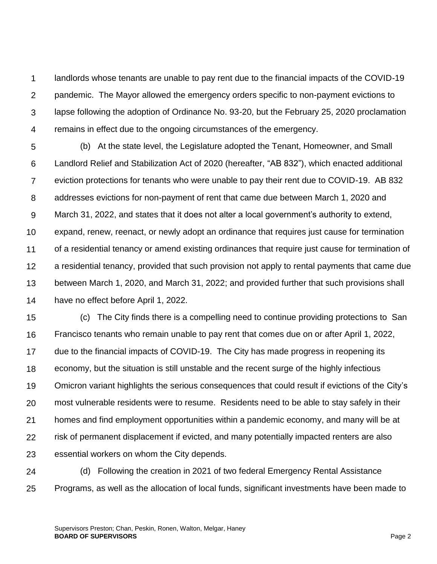1  $\mathcal{P}$ 3 4 landlords whose tenants are unable to pay rent due to the financial impacts of the COVID-19 pandemic. The Mayor allowed the emergency orders specific to non-payment evictions to lapse following the adoption of Ordinance No. 93-20, but the February 25, 2020 proclamation remains in effect due to the ongoing circumstances of the emergency.

5 6 7 8 9 10 11 12 13 14 (b) At the state level, the Legislature adopted the Tenant, Homeowner, and Small Landlord Relief and Stabilization Act of 2020 (hereafter, "AB 832"), which enacted additional eviction protections for tenants who were unable to pay their rent due to COVID-19. AB 832 addresses evictions for non-payment of rent that came due between March 1, 2020 and March 31, 2022, and states that it does not alter a local government's authority to extend, expand, renew, reenact, or newly adopt an ordinance that requires just cause for termination of a residential tenancy or amend existing ordinances that require just cause for termination of a residential tenancy, provided that such provision not apply to rental payments that came due between March 1, 2020, and March 31, 2022; and provided further that such provisions shall have no effect before April 1, 2022.

15 16 17 18 19 20 21 22 23 (c) The City finds there is a compelling need to continue providing protections to San Francisco tenants who remain unable to pay rent that comes due on or after April 1, 2022, due to the financial impacts of COVID-19. The City has made progress in reopening its economy, but the situation is still unstable and the recent surge of the highly infectious Omicron variant highlights the serious consequences that could result if evictions of the City's most vulnerable residents were to resume. Residents need to be able to stay safely in their homes and find employment opportunities within a pandemic economy, and many will be at risk of permanent displacement if evicted, and many potentially impacted renters are also essential workers on whom the City depends.

24 25 (d) Following the creation in 2021 of two federal Emergency Rental Assistance Programs, as well as the allocation of local funds, significant investments have been made to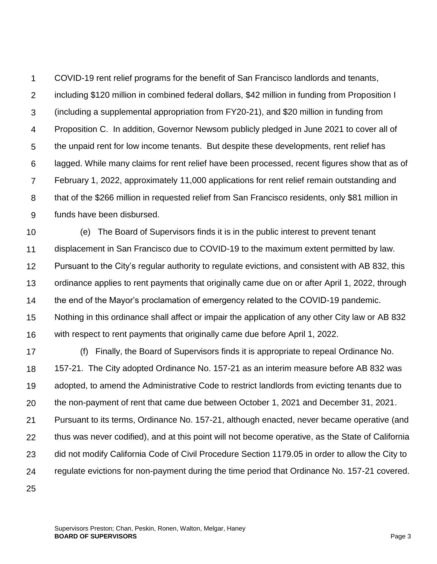1  $\mathcal{P}$ 3 4 5 6 7 8 9 COVID-19 rent relief programs for the benefit of San Francisco landlords and tenants, including \$120 million in combined federal dollars, \$42 million in funding from Proposition I (including a supplemental appropriation from FY20-21), and \$20 million in funding from Proposition C. In addition, Governor Newsom publicly pledged in June 2021 to cover all of the unpaid rent for low income tenants. But despite these developments, rent relief has lagged. While many claims for rent relief have been processed, recent figures show that as of February 1, 2022, approximately 11,000 applications for rent relief remain outstanding and that of the \$266 million in requested relief from San Francisco residents, only \$81 million in funds have been disbursed.

10 11 12 13 14 15 16 (e) The Board of Supervisors finds it is in the public interest to prevent tenant displacement in San Francisco due to COVID-19 to the maximum extent permitted by law. Pursuant to the City's regular authority to regulate evictions, and consistent with AB 832, this ordinance applies to rent payments that originally came due on or after April 1, 2022, through the end of the Mayor's proclamation of emergency related to the COVID-19 pandemic. Nothing in this ordinance shall affect or impair the application of any other City law or AB 832 with respect to rent payments that originally came due before April 1, 2022.

- 17 18 19 20 21 22 23 24 25 (f) Finally, the Board of Supervisors finds it is appropriate to repeal Ordinance No. 157-21. The City adopted Ordinance No. 157-21 as an interim measure before AB 832 was adopted, to amend the Administrative Code to restrict landlords from evicting tenants due to the non-payment of rent that came due between October 1, 2021 and December 31, 2021. Pursuant to its terms, Ordinance No. 157-21, although enacted, never became operative (and thus was never codified), and at this point will not become operative, as the State of California did not modify California Code of Civil Procedure Section 1179.05 in order to allow the City to regulate evictions for non-payment during the time period that Ordinance No. 157-21 covered.
	- Supervisors Preston; Chan, Peskin, Ronen, Walton, Melgar, Haney **BOARD OF SUPERVISORS** Page 3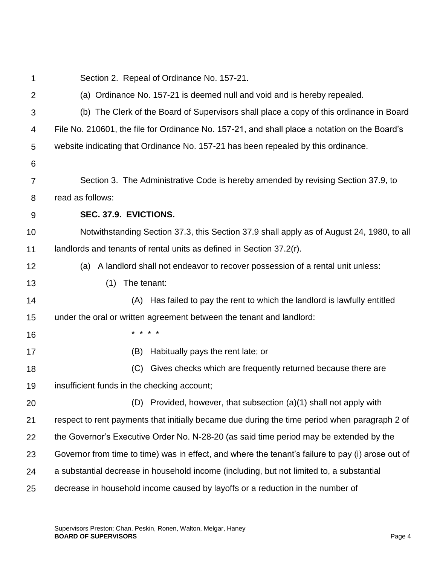1  $\mathcal{P}$ 3 4 5 6 7 8 9 10 11 12 13 14 15 16 17 18 19 20 21 22 23 24 25 Section 2. Repeal of Ordinance No. 157-21. (a) Ordinance No. 157-21 is deemed null and void and is hereby repealed. (b) The Clerk of the Board of Supervisors shall place a copy of this ordinance in Board File No. 210601, the file for Ordinance No. 157-21, and shall place a notation on the Board's website indicating that Ordinance No. 157-21 has been repealed by this ordinance. Section 3. The Administrative Code is hereby amended by revising Section 37.9, to read as follows: **SEC. 37.9. EVICTIONS.** Notwithstanding Section 37.3, this Section 37.9 shall apply as of August 24, 1980, to all landlords and tenants of rental units as defined in Section 37.2(r). (a) A landlord shall not endeavor to recover possession of a rental unit unless: (1) The tenant: (A) Has failed to pay the rent to which the landlord is lawfully entitled under the oral or written agreement between the tenant and landlord: \* \* \* \* (B) Habitually pays the rent late; or (C) Gives checks which are frequently returned because there are insufficient funds in the checking account; (D) Provided, however, that subsection (a)(1) shall not apply with respect to rent payments that initially became due during the time period when paragraph 2 of the Governor's Executive Order No. N-28-20 (as said time period may be extended by the Governor from time to time) was in effect, and where the tenant's failure to pay (i) arose out of a substantial decrease in household income (including, but not limited to, a substantial decrease in household income caused by layoffs or a reduction in the number of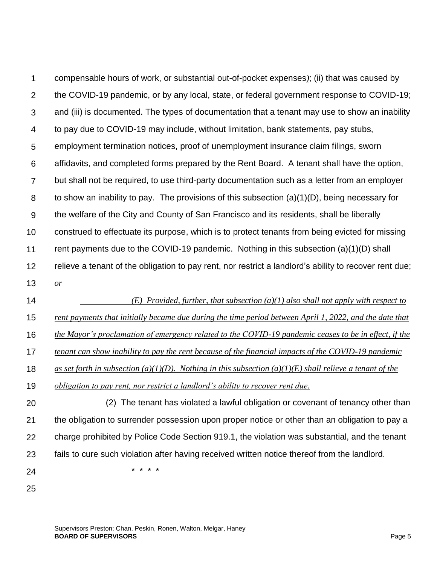1  $\mathcal{P}$ 3 4 5 6 7 8 9 10 11 12 13 compensable hours of work, or substantial out-of-pocket expenses*)*; (ii) that was caused by the COVID-19 pandemic, or by any local, state, or federal government response to COVID-19; and (iii) is documented. The types of documentation that a tenant may use to show an inability to pay due to COVID-19 may include, without limitation, bank statements, pay stubs, employment termination notices, proof of unemployment insurance claim filings, sworn affidavits, and completed forms prepared by the Rent Board. A tenant shall have the option, but shall not be required, to use third-party documentation such as a letter from an employer to show an inability to pay. The provisions of this subsection (a)(1)(D), being necessary for the welfare of the City and County of San Francisco and its residents, shall be liberally construed to effectuate its purpose, which is to protect tenants from being evicted for missing rent payments due to the COVID-19 pandemic. Nothing in this subsection (a)(1)(D) shall relieve a tenant of the obligation to pay rent, nor restrict a landlord's ability to recover rent due; *or*

14 *(E) Provided, further, that subsection (a)(1) also shall not apply with respect to* 

15 *rent payments that initially became due during the time period between April 1, 2022, and the date that* 

16 *the Mayor's proclamation of emergency related to the COVID-19 pandemic ceases to be in effect, if the* 

17 *tenant can show inability to pay the rent because of the financial impacts of the COVID-19 pandemic* 

18 *as set forth in subsection (a)(1)(D). Nothing in this subsection (a)(1)(E) shall relieve a tenant of the* 

19 *obligation to pay rent, nor restrict a landlord's ability to recover rent due.* 

20 21 22 23 24 (2) The tenant has violated a lawful obligation or covenant of tenancy other than the obligation to surrender possession upon proper notice or other than an obligation to pay a charge prohibited by Police Code Section 919.1, the violation was substantial, and the tenant fails to cure such violation after having received written notice thereof from the landlord. \* \* \* \*

25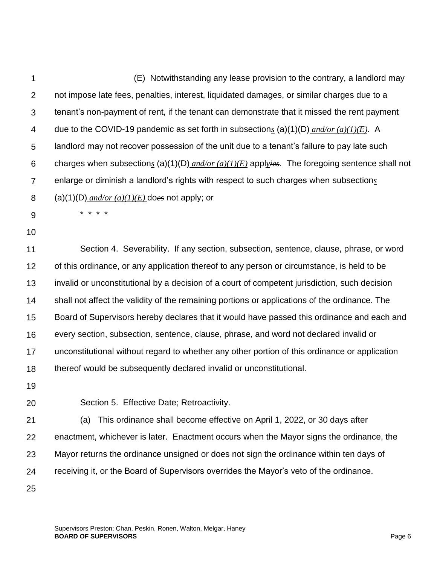1  $\mathcal{P}$ 3 4 5 6 7 8 9 10 11 12 13 14 15 16 17 18 19 20 21 22 23 (E) Notwithstanding any lease provision to the contrary, a landlord may not impose late fees, penalties, interest, liquidated damages, or similar charges due to a tenant's non-payment of rent, if the tenant can demonstrate that it missed the rent payment due to the COVID-19 pandemic as set forth in subsection*s* (a)(1)(D) *and/or (a)(1)(E)*. A landlord may not recover possession of the unit due to a tenant's failure to pay late such charges when subsection*s* (a)(1)(D) *and/or (a)(1)(E)* appl*yies*. The foregoing sentence shall not enlarge or diminish a landlord's rights with respect to such charges when subsection*s* (a)(1)(D)  $\frac{and/or(a)(1)(E)}{B}$  does not apply; or \* \* \* \* Section 4. Severability. If any section, subsection, sentence, clause, phrase, or word of this ordinance, or any application thereof to any person or circumstance, is held to be invalid or unconstitutional by a decision of a court of competent jurisdiction, such decision shall not affect the validity of the remaining portions or applications of the ordinance. The Board of Supervisors hereby declares that it would have passed this ordinance and each and every section, subsection, sentence, clause, phrase, and word not declared invalid or unconstitutional without regard to whether any other portion of this ordinance or application thereof would be subsequently declared invalid or unconstitutional. Section 5. Effective Date; Retroactivity. (a) This ordinance shall become effective on April 1, 2022, or 30 days after enactment, whichever is later. Enactment occurs when the Mayor signs the ordinance, the Mayor returns the ordinance unsigned or does not sign the ordinance within ten days of

receiving it, or the Board of Supervisors overrides the Mayor's veto of the ordinance.

25

24